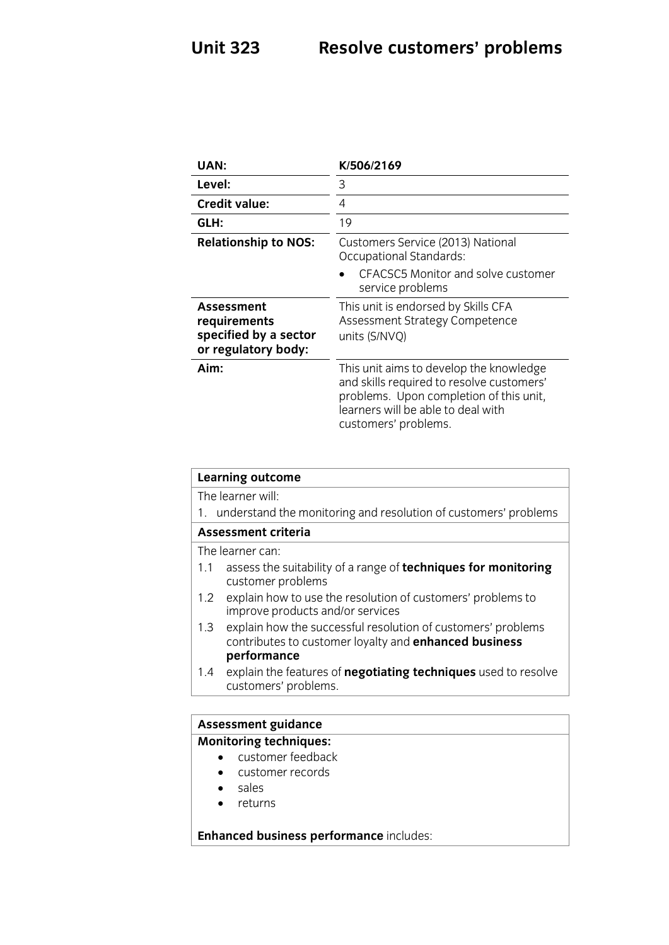## **Unit 323 Resolve customers' problems**

| UAN:                                                                       | K/506/2169                                                                                                                                                                                    |
|----------------------------------------------------------------------------|-----------------------------------------------------------------------------------------------------------------------------------------------------------------------------------------------|
| Level:                                                                     | 3                                                                                                                                                                                             |
| <b>Credit value:</b>                                                       | 4                                                                                                                                                                                             |
| GLH:                                                                       | 19                                                                                                                                                                                            |
| <b>Relationship to NOS:</b>                                                | Customers Service (2013) National<br>Occupational Standards:                                                                                                                                  |
|                                                                            | CEACSC5 Monitor and solve customer<br>service problems                                                                                                                                        |
| Assessment<br>requirements<br>specified by a sector<br>or regulatory body: | This unit is endorsed by Skills CFA<br>Assessment Strategy Competence<br>units (S/NVQ)                                                                                                        |
| Aim:                                                                       | This unit aims to develop the knowledge<br>and skills required to resolve customers'<br>problems. Upon completion of this unit,<br>learners will be able to deal with<br>customers' problems. |

| <b>Learning outcome</b>                                                                                                      |  |
|------------------------------------------------------------------------------------------------------------------------------|--|
| The learner will:                                                                                                            |  |
| 1. understand the monitoring and resolution of customers' problems                                                           |  |
| Assessment criteria                                                                                                          |  |
| The learner can:                                                                                                             |  |
| assess the suitability of a range of techniques for monitoring<br>1.1<br>customer problems                                   |  |
| explain how to use the resolution of customers' problems to<br>1.2<br>improve products and/or services                       |  |
| explain how the successful resolution of customers' problems<br>1.3<br>contributes to customer loyalty and enhanced business |  |
| performance                                                                                                                  |  |
| explain the features of <b>negotiating techniques</b> used to resolve<br>1.4<br>customers' problems.                         |  |
|                                                                                                                              |  |
| <b>Assessment guidance</b>                                                                                                   |  |
| <b>Monitoring techniques:</b>                                                                                                |  |

- customer feedback
	- customer records<br>• sales
	- sales<br>• returi
	- returns

**Enhanced business performance** includes: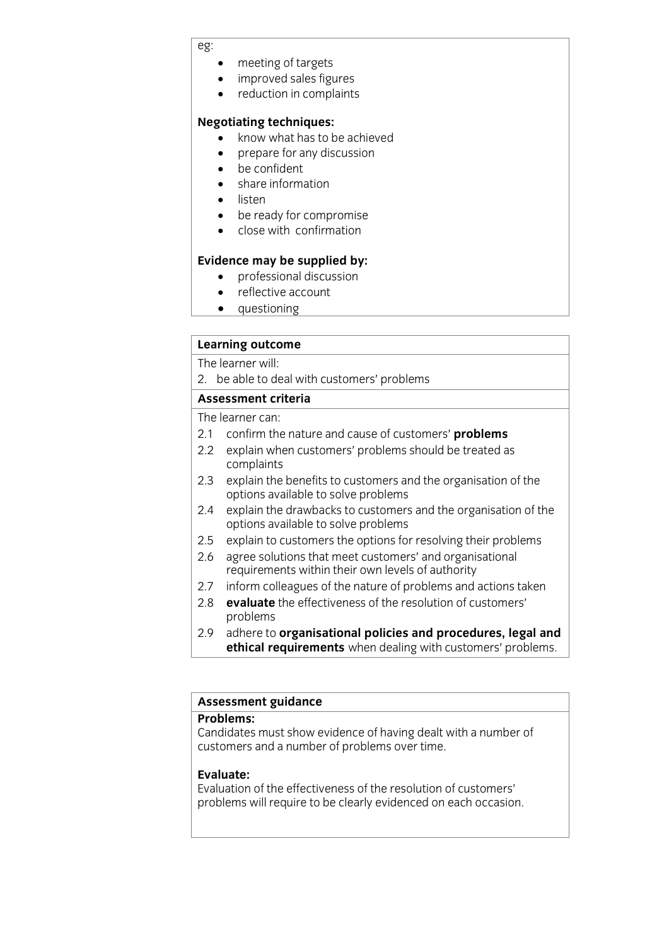## eg:

- 
- meeting of targets<br>• improved sales figures • improved sales figures<br>• reduction in complaint
- reduction in complaints

### **Negotiating techniques:**

- **Negotiation**<br> **Negotiation**<br> **Negotiation**<br> **Negotiation**<br> **Negotiation** 
	- prepare for any discussion<br>be confident
	- be confident<br>• share inform
	- share information<br>• listen
	- listen<br>• he.re
	- be ready for compromise<br>• close with confirmation
	- close with confirmation

- **professional discussion**<br>• **reflective account** 
	- reflective account
	- questioning

# **Learning outcome**<br>The learner will:

2. be able to deal with customers' problems

### Assessment criteria

The learner can:

- 2.1 confirm the nature and cause of customers' **problems**
- 2.2 explain when customers' problems should be treated as complaints
- $2.3$ explain the benefits to customers and the organisation of the options available to solve problems
- $2.4$ explain the drawbacks to customers and the organisation of the options available to solve problems
- 2.5 explain to customers the options for resolving their problems
- 2.6 agree solutions that meet customers' and organisational requirements within their own levels of authority
- 2.7 inform colleagues of the nature of problems and actions taken
- 2.8 evaluate the effectiveness of the resolution of customers' problems
- adhere to organisational policies and procedures, legal and 2.9 adhere to **organisational policies and procedures, legal and ethical requirements** when dealing with customers' problems.

# **Assessment guidance**

Candidates must show evidence of having dealt with a number of customers and a number of problems over time. customers and a number of problems over time.

### Evaluate:

Evaluation of the effectiveness of the resolution of customers' problems will require to be clearly evidenced on each occasion problems will require to be clearly evidenced on each occasion.